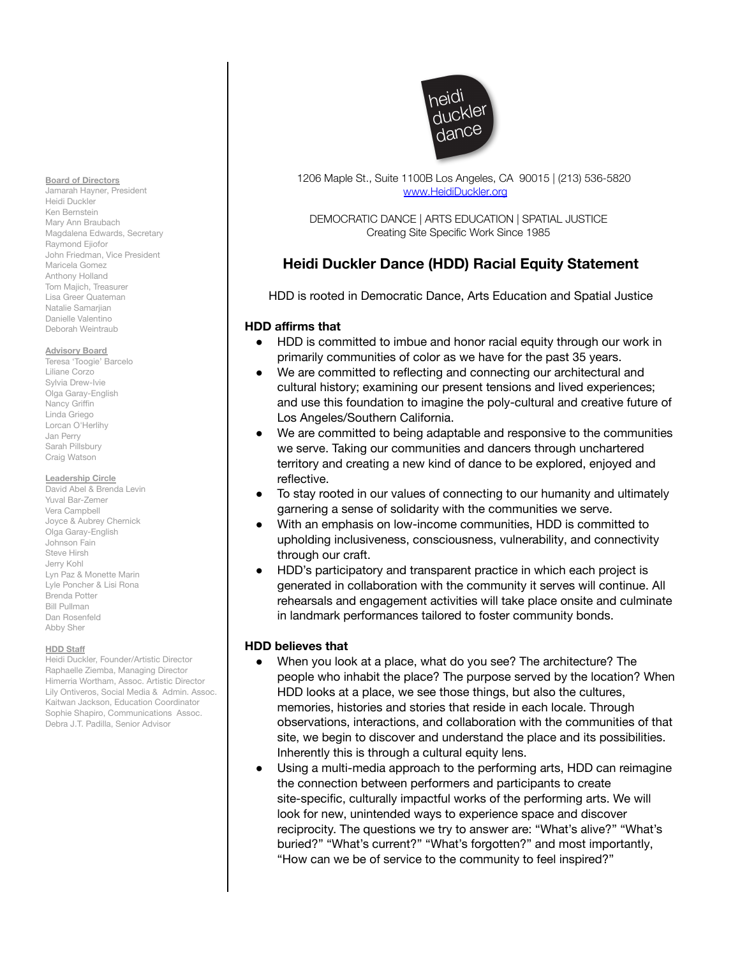#### **Board of Directors**

Jamarah Hayner, President Heidi Duckler Ken Bernstein Mary Ann Braubach Magdalena Edwards, Secretary Raymond Ejiofor John Friedman, Vice President Maricela Gomez Anthony Holland Tom Majich, Treasurer Lisa Greer Quateman Natalie Samarijan Danielle Valentino Deborah Weintraub

#### **Advisory Board**

Teresa 'Toogie' Barcelo Liliane Corzo Sylvia Drew-Ivie Olga Garay-English Nancy Griffin Linda Griego Lorcan O'Herlihy Jan Perry Sarah Pillsbury Craig Watson

### **Leadership Circle**

David Abel & Brenda Levin Yuval Bar-Zemer Vera Campbell Joyce & Aubrey Chernick Olga Garay-English Johnson Fain Steve Hirsh Jerry Kohl Lyn Paz & Monette Marin Lyle Poncher & Lisi Rona Brenda Potter Bill Pullman Dan Rosenfeld Abby Sher

### **HDD Staff**

Heidi Duckler, Founder/Artistic Director Raphaelle Ziemba, Managing Director Himerria Wortham, Assoc. Artistic Director Lily Ontiveros, Social Media & Admin. Assoc. Kaitwan Jackson, Education Coordinator Sophie Shapiro, Communications Assoc. Debra J.T. Padilla, Senior Advisor



1206 Maple St., Suite 1100B Los Angeles, CA 90015 | (213) 536-5820 [www.HeidiDuckler.org](http://www.heididuckler.org)

DEMOCRATIC DANCE | ARTS EDUCATION | SPATIAL JUSTICE Creating Site Specific Work Since 1985

## **Heidi Duckler Dance (HDD) Racial Equity Statement**

HDD is rooted in Democratic Dance, Arts Education and Spatial Justice

## **HDD affirms that**

- HDD is committed to imbue and honor racial equity through our work in primarily communities of color as we have for the past 35 years.
- We are committed to reflecting and connecting our architectural and cultural history; examining our present tensions and lived experiences; and use this foundation to imagine the poly-cultural and creative future of Los Angeles/Southern California.
- We are committed to being adaptable and responsive to the communities we serve. Taking our communities and dancers through unchartered territory and creating a new kind of dance to be explored, enjoyed and reflective.
- To stay rooted in our values of connecting to our humanity and ultimately garnering a sense of solidarity with the communities we serve.
- With an emphasis on low-income communities, HDD is committed to upholding inclusiveness, consciousness, vulnerability, and connectivity through our craft.
- HDD's participatory and transparent practice in which each project is generated in collaboration with the community it serves will continue. All rehearsals and engagement activities will take place onsite and culminate in landmark performances tailored to foster community bonds.

### **HDD believes that**

- When you look at a place, what do you see? The architecture? The people who inhabit the place? The purpose served by the location? When HDD looks at a place, we see those things, but also the cultures, memories, histories and stories that reside in each locale. Through observations, interactions, and collaboration with the communities of that site, we begin to discover and understand the place and its possibilities. Inherently this is through a cultural equity lens.
- Using a multi-media approach to the performing arts, HDD can reimagine the connection between performers and participants to create site-specific, culturally impactful works of the performing arts. We will look for new, unintended ways to experience space and discover reciprocity. The questions we try to answer are: "What's alive?" "What's buried?" "What's current?" "What's forgotten?" and most importantly, "How can we be of service to the community to feel inspired?"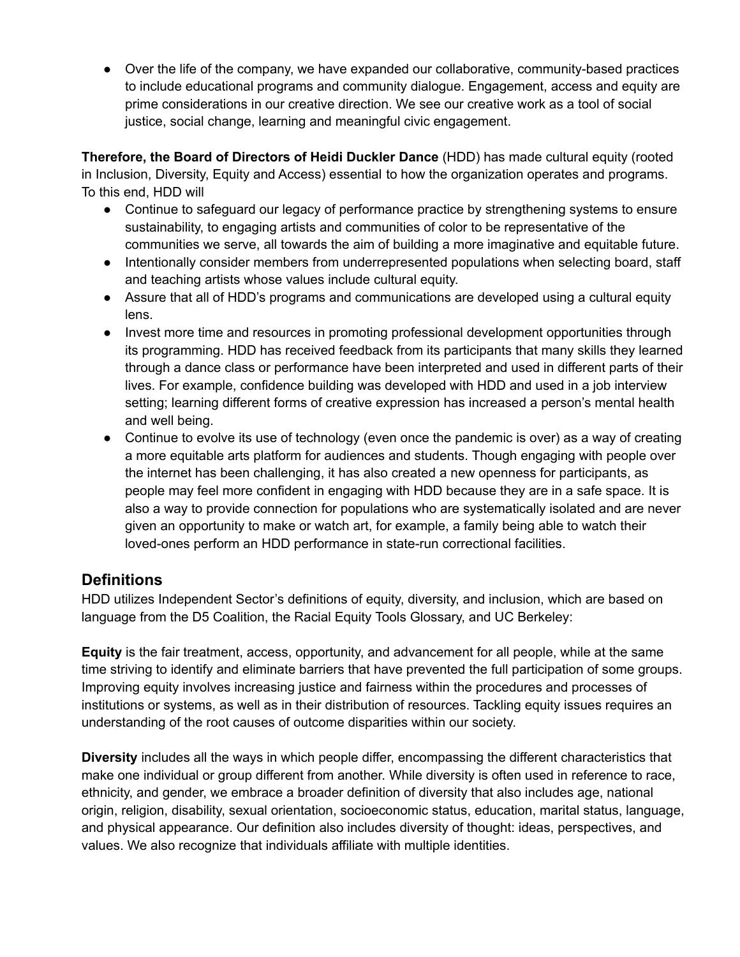● Over the life of the company, we have expanded our collaborative, community-based practices to include educational programs and community dialogue. Engagement, access and equity are prime considerations in our creative direction. We see our creative work as a tool of social justice, social change, learning and meaningful civic engagement.

**Therefore, the Board of Directors of Heidi Duckler Dance** (HDD) has made cultural equity (rooted in Inclusion, Diversity, Equity and Access) essential to how the organization operates and programs. To this end, HDD will

- Continue to safeguard our legacy of performance practice by strengthening systems to ensure sustainability, to engaging artists and communities of color to be representative of the communities we serve, all towards the aim of building a more imaginative and equitable future.
- Intentionally consider members from underrepresented populations when selecting board, staff and teaching artists whose values include cultural equity.
- Assure that all of HDD's programs and communications are developed using a cultural equity lens.
- Invest more time and resources in promoting professional development opportunities through its programming. HDD has received feedback from its participants that many skills they learned through a dance class or performance have been interpreted and used in different parts of their lives. For example, confidence building was developed with HDD and used in a job interview setting; learning different forms of creative expression has increased a person's mental health and well being.
- Continue to evolve its use of technology (even once the pandemic is over) as a way of creating a more equitable arts platform for audiences and students. Though engaging with people over the internet has been challenging, it has also created a new openness for participants, as people may feel more confident in engaging with HDD because they are in a safe space. It is also a way to provide connection for populations who are systematically isolated and are never given an opportunity to make or watch art, for example, a family being able to watch their loved-ones perform an HDD performance in state-run correctional facilities.

# **Definitions**

HDD utilizes Independent Sector's definitions of equity, diversity, and inclusion, which are based on language from the D5 Coalition, the Racial Equity Tools Glossary, and UC Berkeley:

**Equity** is the fair treatment, access, opportunity, and advancement for all people, while at the same time striving to identify and eliminate barriers that have prevented the full participation of some groups. Improving equity involves increasing justice and fairness within the procedures and processes of institutions or systems, as well as in their distribution of resources. Tackling equity issues requires an understanding of the root causes of outcome disparities within our society.

**Diversity** includes all the ways in which people differ, encompassing the different characteristics that make one individual or group different from another. While diversity is often used in reference to race, ethnicity, and gender, we embrace a broader definition of diversity that also includes age, national origin, religion, disability, sexual orientation, socioeconomic status, education, marital status, language, and physical appearance. Our definition also includes diversity of thought: ideas, perspectives, and values. We also recognize that individuals affiliate with multiple identities.